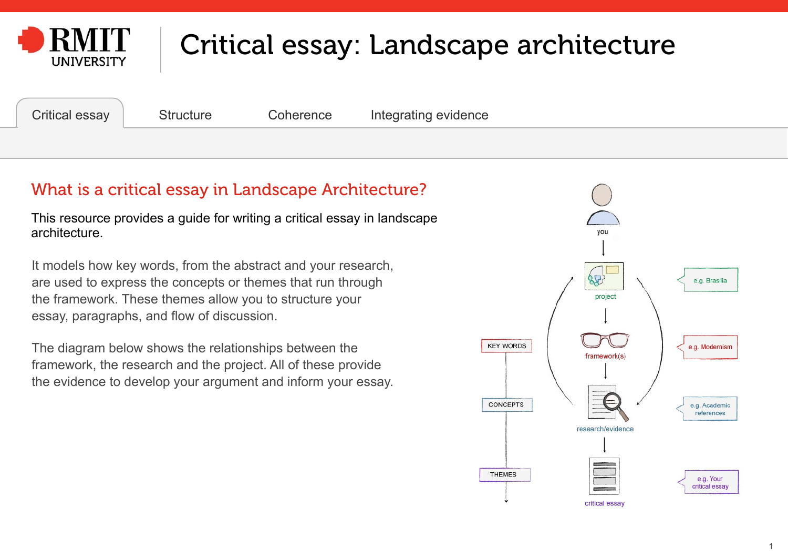<span id="page-0-0"></span>

Critical essay [Structure](#page-1-0) [Coherence](#page-33-0) [Integrating evidence](#page-36-0)

### What is a critical essay in Landscape Architecture?

This resource provides a guide for writing a critical essay in landscape architecture.

It models how key words, from the abstract and your research, are used to express the concepts or themes that run through the framework. These themes allow you to structure your essay, paragraphs, and flow of discussion.

The diagram below shows the relationships between the framework, the research and the project. All of these provide the evidence to develop your argument and inform your essay.

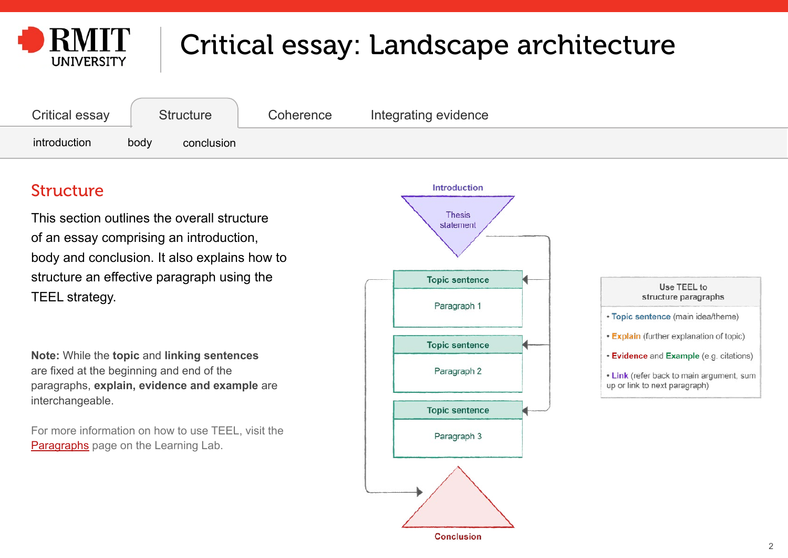<span id="page-1-0"></span>

| <b>Critical essay</b> | <b>Structure</b>   | Coherence | Integrating evidence |  |
|-----------------------|--------------------|-----------|----------------------|--|
| introduction          | body<br>conclusion |           |                      |  |

### Structure

This section outlines the overall structure of an essay comprising an introduction, body and conclusion. It also explains how to structure an effective paragraph using the TEEL strategy.

**Note:** While the **topic** and **linking sentences** are fixed at the beginning and end of the paragraphs, **explain, evidence and example** are interchangeable.

For more information on how to use TEEL, visit the [Paragraphs](https://emedia.rmit.edu.au/learninglab/content/paragraphs) page on the Learning Lab.



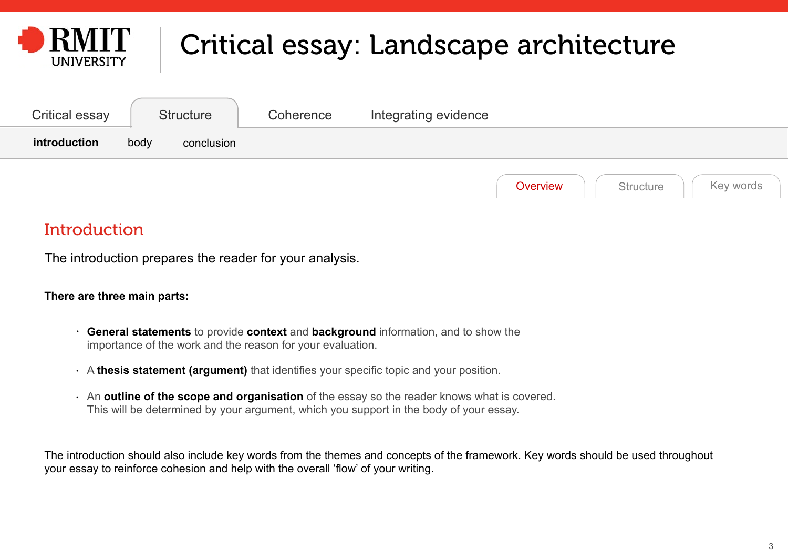<span id="page-2-0"></span>

| <b>Critical essay</b> | <b>Structure</b>   | Coherence | Integrating evidence               |
|-----------------------|--------------------|-----------|------------------------------------|
| introduction          | body<br>conclusion |           |                                    |
|                       |                    |           | Key words<br>Structure<br>Overview |

### **Introduction**

The introduction prepares the reader for your analysis.

#### **There are three main parts:**

- **General statements** to provide **context** and **background** information, and to show the importance of the work and the reason for your evaluation.
- A **thesis statement (argument)** that identifies your specific topic and your position.
- An **outline of the scope and organisation** of the essay so the reader knows what is covered. This will be determined by your argument, which you support in the body of your essay.

The introduction should also include key words from the themes and concepts of the framework. Key words should be used throughout your essay to reinforce cohesion and help with the overall 'flow' of your writing.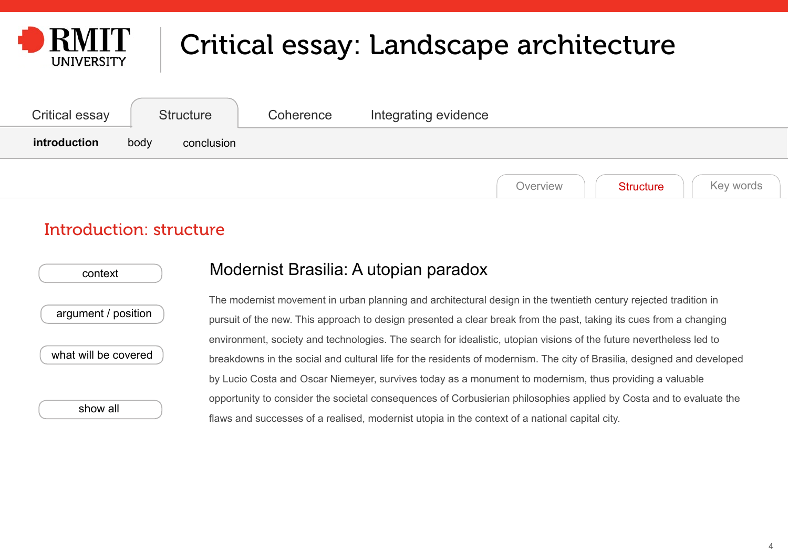<span id="page-3-0"></span>

| Critical essay | <b>Structure</b>   | Coherence | Integrating evidence |          |                  |           |
|----------------|--------------------|-----------|----------------------|----------|------------------|-----------|
| introduction   | body<br>conclusion |           |                      |          |                  |           |
|                |                    |           |                      | Overview | <b>Structure</b> | Key words |

#### Introduction: structure

| context              |
|----------------------|
| argument / position  |
| what will be covered |

[show all](#page-7-0)

#### Modernist Brasilia: A utopian paradox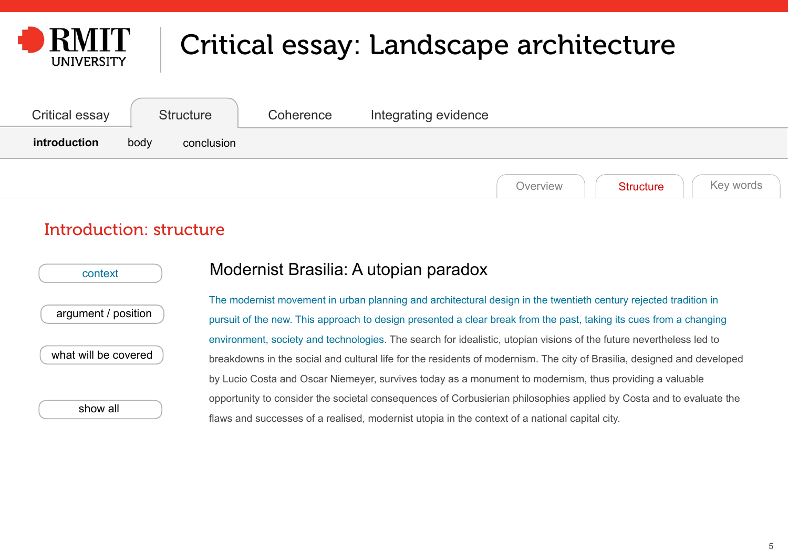<span id="page-4-0"></span>

| Critical essay | <b>Structure</b>   | Coherence | Integrating evidence                      |  |
|----------------|--------------------|-----------|-------------------------------------------|--|
| introduction   | body<br>conclusion |           |                                           |  |
|                |                    |           | Key words<br><b>Structure</b><br>Overview |  |

#### Introduction: structure

| context              |  |
|----------------------|--|
| argument / position  |  |
| what will be covered |  |

[show all](#page-7-0)

#### Modernist Brasilia: A utopian paradox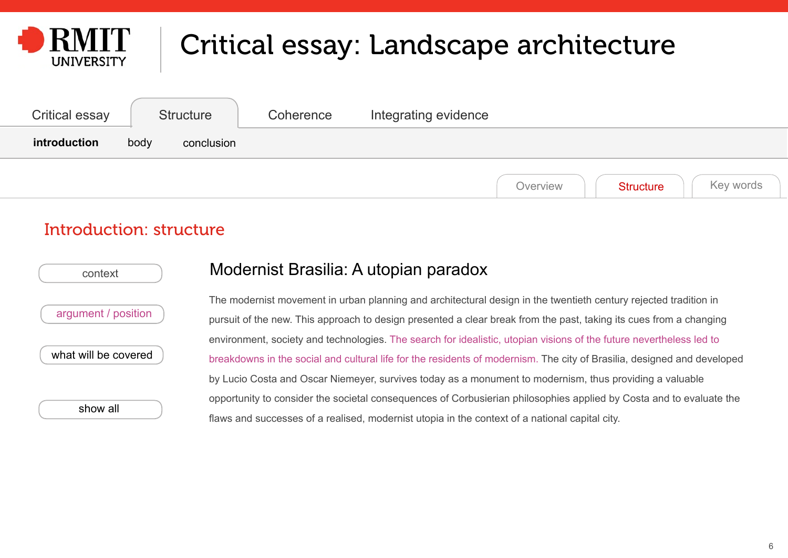<span id="page-5-0"></span>

| <b>Critical essay</b> | <b>Structure</b>   | Coherence | Integrating evidence |          |                  |           |
|-----------------------|--------------------|-----------|----------------------|----------|------------------|-----------|
| introduction          | body<br>conclusion |           |                      |          |                  |           |
|                       |                    |           |                      | Overview | <b>Structure</b> | Key words |

#### Introduction: structure

| context              |  |
|----------------------|--|
| argument / position  |  |
| what will be covered |  |
|                      |  |

[show all](#page-7-0)

#### Modernist Brasilia: A utopian paradox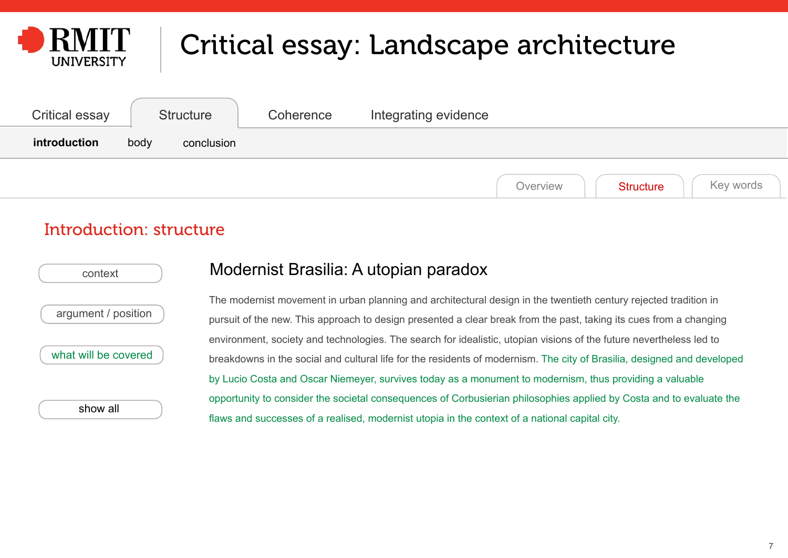<span id="page-6-0"></span>

| <b>Critical essay</b> | Structure          | Coherence | Integrating evidence                      |  |
|-----------------------|--------------------|-----------|-------------------------------------------|--|
| introduction          | body<br>conclusion |           |                                           |  |
|                       |                    |           | Key words<br><b>Structure</b><br>Overview |  |

#### Introduction: structure

| context              |  |
|----------------------|--|
| argument / position  |  |
| what will be covered |  |

[show all](#page-7-0)

#### Modernist Brasilia: A utopian paradox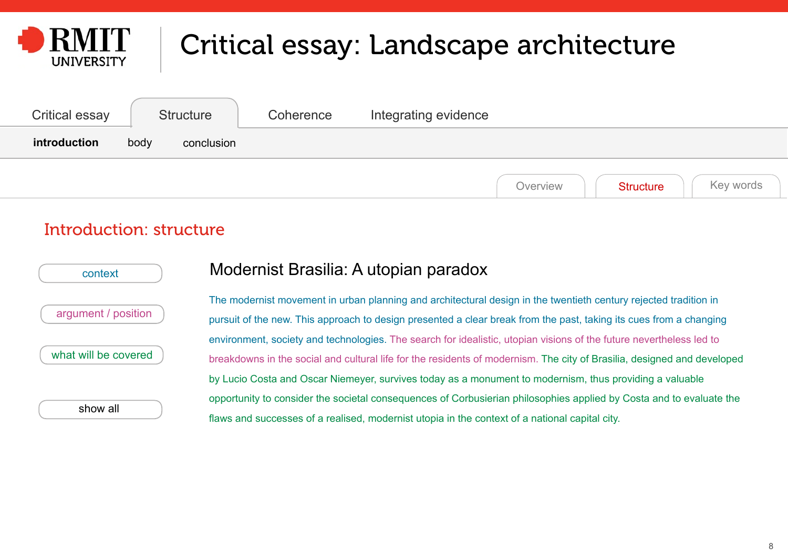<span id="page-7-0"></span>

| Critical essay | Structure          | Coherence | Integrating evidence |          |                  |           |
|----------------|--------------------|-----------|----------------------|----------|------------------|-----------|
| introduction   | body<br>conclusion |           |                      |          |                  |           |
|                |                    |           |                      | Overview | <b>Structure</b> | Key words |

#### Introduction: structure

| context              |  |
|----------------------|--|
| argument / position  |  |
| what will be covered |  |

show all

#### Modernist Brasilia: A utopian paradox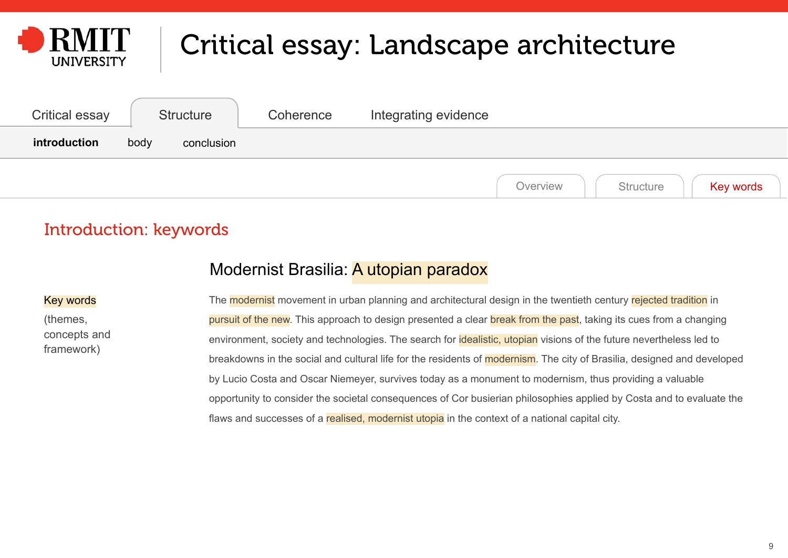<span id="page-8-0"></span>

| <b>Critical essay</b> | <b>Structure</b>   | Coherence | Integrating evidence |          |                  |           |
|-----------------------|--------------------|-----------|----------------------|----------|------------------|-----------|
| introduction          | body<br>conclusion |           |                      |          |                  |           |
|                       |                    |           |                      | Overview | <b>Structure</b> | Key words |

### Introduction: keywords

#### Modernist Brasilia: A utopian paradox

#### Key words

(themes, concepts and framework)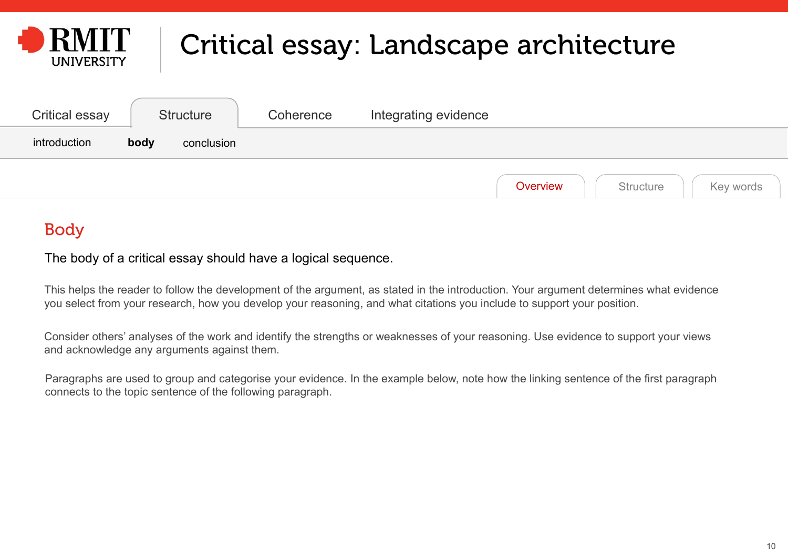<span id="page-9-0"></span>

| Critical essay | <b>Structure</b>   | Coherence | Integrating evidence               |
|----------------|--------------------|-----------|------------------------------------|
| introduction   | body<br>conclusion |           |                                    |
|                |                    |           | Key words<br>Overview<br>Structure |

### Body

The body of a critical essay should have a logical sequence.

This helps the reader to follow the development of the argument, as stated in the introduction. Your argument determines what evidence you select from your research, how you develop your reasoning, and what citations you include to support your position.

Consider others' analyses of the work and identify the strengths or weaknesses of your reasoning. Use evidence to support your views and acknowledge any arguments against them.

Paragraphs are used to group and categorise your evidence. In the example below, note how the linking sentence of the first paragraph connects to the topic sentence of the following paragraph.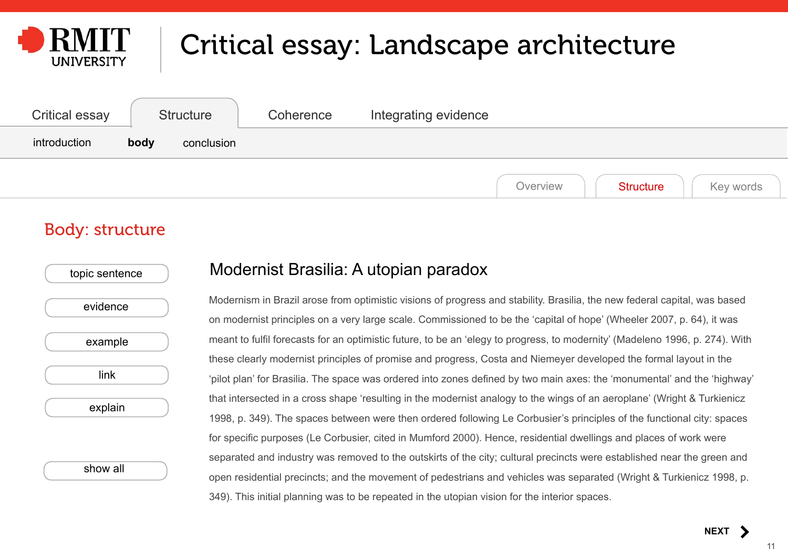<span id="page-10-0"></span>

| Critical essay | <b>Structure</b>   | Coherence | Integrating evidence                      |
|----------------|--------------------|-----------|-------------------------------------------|
| introduction   | body<br>conclusion |           |                                           |
|                |                    |           | Key words<br>Overview<br><b>Structure</b> |

#### Body: structure

| topic sentence |  |
|----------------|--|
| evidence       |  |
| example        |  |
| link           |  |
| explain        |  |
|                |  |
| show all       |  |

#### Modernist Brasilia: A utopian paradox

Modernism in Brazil arose from optimistic visions of progress and stability. Brasilia, the new federal capital, was based on modernist principles on a very large scale. Commissioned to be the 'capital of hope' (Wheeler 2007, p. 64), it was meant to fulfil forecasts for an optimistic future, to be an 'elegy to progress, to modernity' (Madeleno 1996, p. 274). With these clearly modernist principles of promise and progress, Costa and Niemeyer developed the formal layout in the 'pilot plan' for Brasilia. The space was ordered into zones defined by two main axes: the 'monumental' and the 'highway' that intersected in a cross shape 'resulting in the modernist analogy to the wings of an aeroplane' (Wright & Turkienicz 1998, p. 349). The spaces between were then ordered following Le Corbusier's principles of the functional city: spaces for specific purposes (Le Corbusier, cited in Mumford 2000). Hence, residential dwellings and places of work were separated and industry was removed to the outskirts of the city; cultural precincts were established near the green and open residential precincts; and the movement of pedestrians and vehicles was separated (Wright & Turkienicz 1998, p. 349). This initial planning was to be repeated in the utopian vision for the interior spaces.

**[NEXT](#page-11-0)**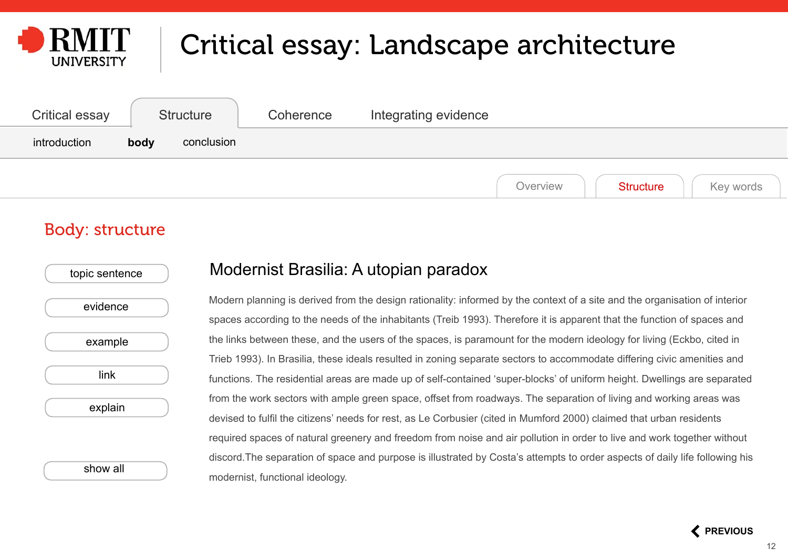<span id="page-11-0"></span>

| <b>Critical essay</b> | <b>Structure</b>   | Coherence | Integrating evidence                      |
|-----------------------|--------------------|-----------|-------------------------------------------|
| introduction          | body<br>conclusion |           |                                           |
|                       |                    |           | Key words<br><b>Structure</b><br>Overview |

#### Body: structure

| topic sentence |  |
|----------------|--|
| evidence       |  |
| example        |  |
| link           |  |
| explain        |  |
|                |  |
| show all       |  |

#### Modernist Brasilia: A utopian paradox

Modern planning is derived from the design rationality: informed by the context of a site and the organisation of interior spaces according to the needs of the inhabitants (Treib 1993). Therefore it is apparent that the function of spaces and the links between these, and the users of the spaces, is paramount for the modern ideology for living (Eckbo, cited in Trieb 1993). In Brasilia, these ideals resulted in zoning separate sectors to accommodate differing civic amenities and functions. The residential areas are made up of self-contained 'super-blocks' of uniform height. Dwellings are separated from the work sectors with ample green space, offset from roadways. The separation of living and working areas was devised to fulfil the citizens' needs for rest, as Le Corbusier (cited in Mumford 2000) claimed that urban residents required spaces of natural greenery and freedom from noise and air pollution in order to live and work together without discord.The separation of space and purpose is illustrated by Costa's attempts to order aspects of daily life following his modernist, functional ideology.

 **[PREVIOUS](#page-10-0)**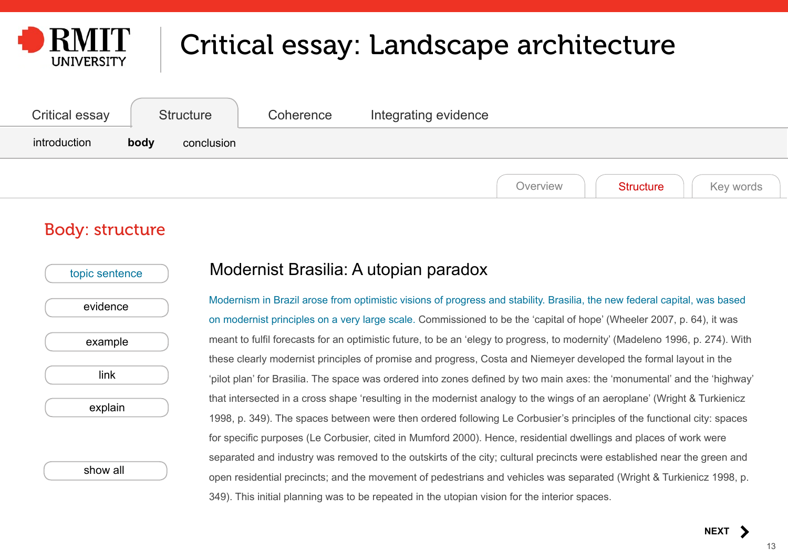<span id="page-12-0"></span>

| <b>Critical essay</b> | <b>Structure</b>   | Coherence | Integrating evidence                      |
|-----------------------|--------------------|-----------|-------------------------------------------|
| introduction          | body<br>conclusion |           |                                           |
|                       |                    |           | Key words<br>Overview<br><b>Structure</b> |

#### Body: structure

| topic sentence |  |
|----------------|--|
| evidence       |  |
| example        |  |
| link           |  |
| explain        |  |
|                |  |
| show all       |  |

#### Modernist Brasilia: A utopian paradox

Modernism in Brazil arose from optimistic visions of progress and stability. Brasilia, the new federal capital, was based on modernist principles on a very large scale. Commissioned to be the 'capital of hope' (Wheeler 2007, p. 64), it was meant to fulfil forecasts for an optimistic future, to be an 'elegy to progress, to modernity' (Madeleno 1996, p. 274). With these clearly modernist principles of promise and progress, Costa and Niemeyer developed the formal layout in the 'pilot plan' for Brasilia. The space was ordered into zones defined by two main axes: the 'monumental' and the 'highway' that intersected in a cross shape 'resulting in the modernist analogy to the wings of an aeroplane' (Wright & Turkienicz 1998, p. 349). The spaces between were then ordered following Le Corbusier's principles of the functional city: spaces for specific purposes (Le Corbusier, cited in Mumford 2000). Hence, residential dwellings and places of work were separated and industry was removed to the outskirts of the city; cultural precincts were established near the green and open residential precincts; and the movement of pedestrians and vehicles was separated (Wright & Turkienicz 1998, p. 349). This initial planning was to be repeated in the utopian vision for the interior spaces.

**[NEXT](#page-13-0)**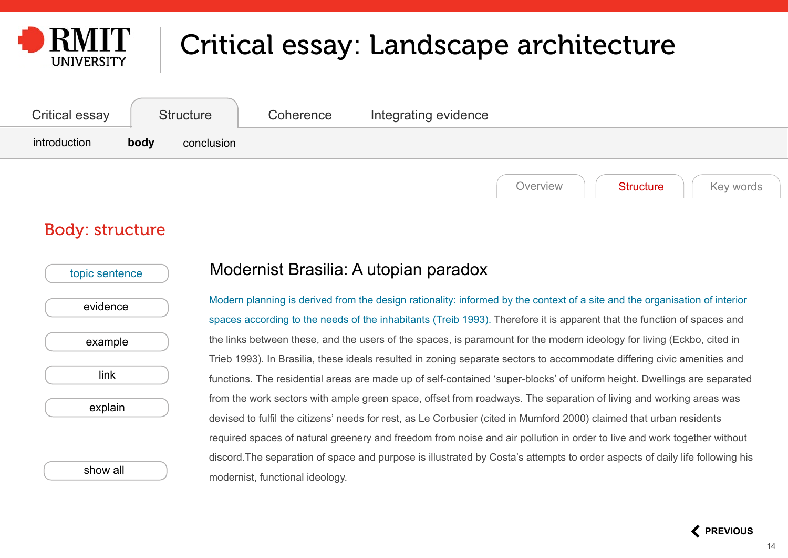<span id="page-13-0"></span>

| Critical essay | <b>Structure</b>   | Coherence | Integrating evidence                      |
|----------------|--------------------|-----------|-------------------------------------------|
| introduction   | body<br>conclusion |           |                                           |
|                |                    |           | Key words<br><b>Structure</b><br>Overview |

#### Body: structure

| topic sentence |  |
|----------------|--|
| evidence       |  |
| example        |  |
| link           |  |
| explain        |  |
|                |  |
| show all       |  |

#### Modernist Brasilia: A utopian paradox

Modern planning is derived from the design rationality: informed by the context of a site and the organisation of interior spaces according to the needs of the inhabitants (Treib 1993). Therefore it is apparent that the function of spaces and the links between these, and the users of the spaces, is paramount for the modern ideology for living (Eckbo, cited in Trieb 1993). In Brasilia, these ideals resulted in zoning separate sectors to accommodate differing civic amenities and functions. The residential areas are made up of self-contained 'super-blocks' of uniform height. Dwellings are separated from the work sectors with ample green space, offset from roadways. The separation of living and working areas was devised to fulfil the citizens' needs for rest, as Le Corbusier (cited in Mumford 2000) claimed that urban residents required spaces of natural greenery and freedom from noise and air pollution in order to live and work together without discord.The separation of space and purpose is illustrated by Costa's attempts to order aspects of daily life following his modernist, functional ideology.

 **[PREVIOUS](#page-12-0)**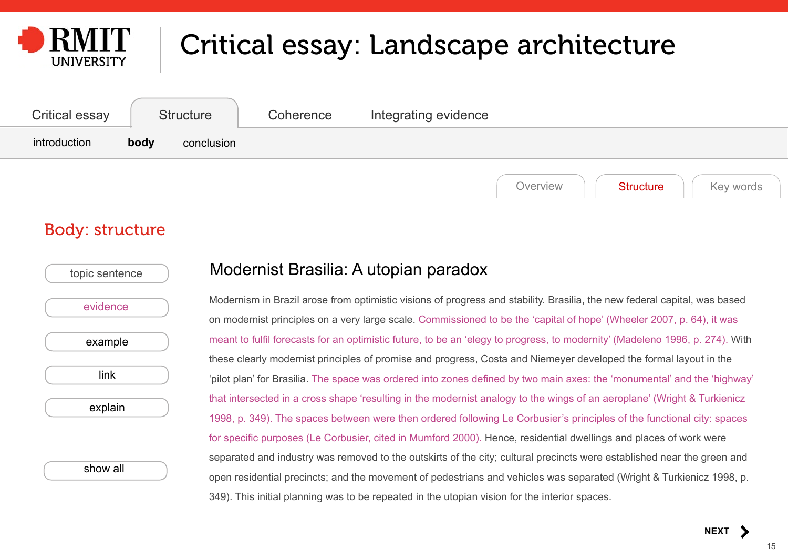<span id="page-14-0"></span>

| Critical essay | <b>Structure</b>   | Coherence | Integrating evidence                      |
|----------------|--------------------|-----------|-------------------------------------------|
| introduction   | body<br>conclusion |           |                                           |
|                |                    |           | Key words<br>Overview<br><b>Structure</b> |

#### Body: structure

| topic sentence |  |
|----------------|--|
| evidence       |  |
| example        |  |
| link           |  |
| explain        |  |
|                |  |
| show all       |  |

#### Modernist Brasilia: A utopian paradox

Modernism in Brazil arose from optimistic visions of progress and stability. Brasilia, the new federal capital, was based on modernist principles on a very large scale. Commissioned to be the 'capital of hope' (Wheeler 2007, p. 64), it was meant to fulfil forecasts for an optimistic future, to be an 'elegy to progress, to modernity' (Madeleno 1996, p. 274). With these clearly modernist principles of promise and progress, Costa and Niemeyer developed the formal layout in the 'pilot plan' for Brasilia. The space was ordered into zones defined by two main axes: the 'monumental' and the 'highway' that intersected in a cross shape 'resulting in the modernist analogy to the wings of an aeroplane' (Wright & Turkienicz 1998, p. 349). The spaces between were then ordered following Le Corbusier's principles of the functional city: spaces for specific purposes (Le Corbusier, cited in Mumford 2000). Hence, residential dwellings and places of work were separated and industry was removed to the outskirts of the city; cultural precincts were established near the green and open residential precincts; and the movement of pedestrians and vehicles was separated (Wright & Turkienicz 1998, p. 349). This initial planning was to be repeated in the utopian vision for the interior spaces.

**[NEXT](#page-15-0)**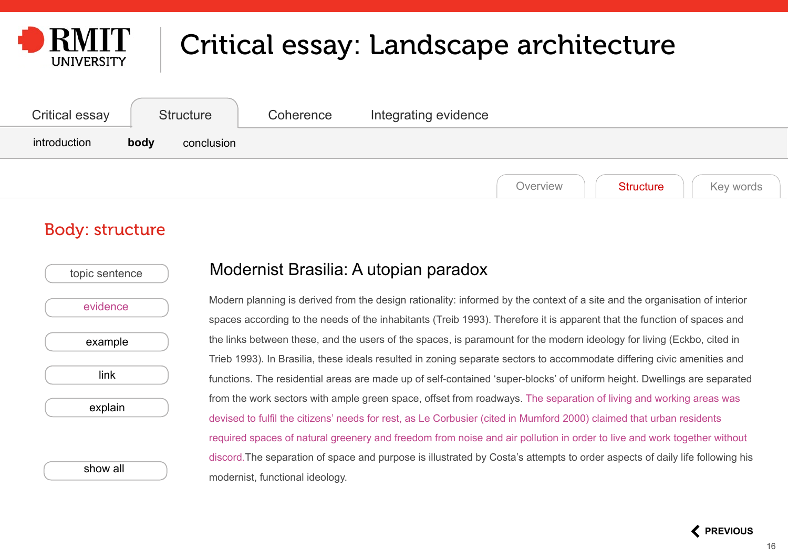<span id="page-15-0"></span>

| <b>Critical essay</b> | <b>Structure</b>   | Coherence | Integrating evidence                      |
|-----------------------|--------------------|-----------|-------------------------------------------|
| introduction          | body<br>conclusion |           |                                           |
|                       |                    |           | Key words<br>Overview<br><b>Structure</b> |

#### Body: structure

| topic sentence |  |
|----------------|--|
| evidence       |  |
| example        |  |
| link           |  |
| explain        |  |
|                |  |
| show all       |  |

#### Modernist Brasilia: A utopian paradox

Modern planning is derived from the design rationality: informed by the context of a site and the organisation of interior spaces according to the needs of the inhabitants (Treib 1993). Therefore it is apparent that the function of spaces and the links between these, and the users of the spaces, is paramount for the modern ideology for living (Eckbo, cited in Trieb 1993). In Brasilia, these ideals resulted in zoning separate sectors to accommodate differing civic amenities and functions. The residential areas are made up of self-contained 'super-blocks' of uniform height. Dwellings are separated from the work sectors with ample green space, offset from roadways. The separation of living and working areas was devised to fulfil the citizens' needs for rest, as Le Corbusier (cited in Mumford 2000) claimed that urban residents required spaces of natural greenery and freedom from noise and air pollution in order to live and work together without discord.The separation of space and purpose is illustrated by Costa's attempts to order aspects of daily life following his modernist, functional ideology.

 **[PREVIOUS](#page-14-0)**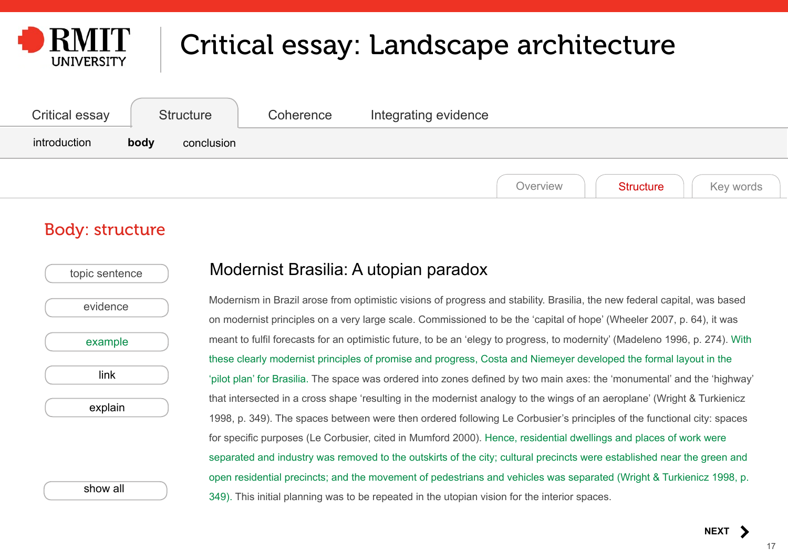<span id="page-16-0"></span>

| <b>Critical essay</b> | <b>Structure</b>   | Coherence | Integrating evidence                      |
|-----------------------|--------------------|-----------|-------------------------------------------|
| introduction          | body<br>conclusion |           |                                           |
|                       |                    |           | Key words<br>Overview<br><b>Structure</b> |

#### Body: structure

| topic sentence |  |
|----------------|--|
| evidence       |  |
| example        |  |
| link           |  |
| explain        |  |
|                |  |
|                |  |

[show all](#page-22-0)

#### Modernist Brasilia: A utopian paradox

Modernism in Brazil arose from optimistic visions of progress and stability. Brasilia, the new federal capital, was based on modernist principles on a very large scale. Commissioned to be the 'capital of hope' (Wheeler 2007, p. 64), it was meant to fulfil forecasts for an optimistic future, to be an 'elegy to progress, to modernity' (Madeleno 1996, p. 274). With these clearly modernist principles of promise and progress, Costa and Niemeyer developed the formal layout in the 'pilot plan' for Brasilia. The space was ordered into zones defined by two main axes: the 'monumental' and the 'highway' that intersected in a cross shape 'resulting in the modernist analogy to the wings of an aeroplane' (Wright & Turkienicz 1998, p. 349). The spaces between were then ordered following Le Corbusier's principles of the functional city: spaces for specific purposes (Le Corbusier, cited in Mumford 2000). Hence, residential dwellings and places of work were separated and industry was removed to the outskirts of the city; cultural precincts were established near the green and open residential precincts; and the movement of pedestrians and vehicles was separated (Wright & Turkienicz 1998, p. 349). This initial planning was to be repeated in the utopian vision for the interior spaces.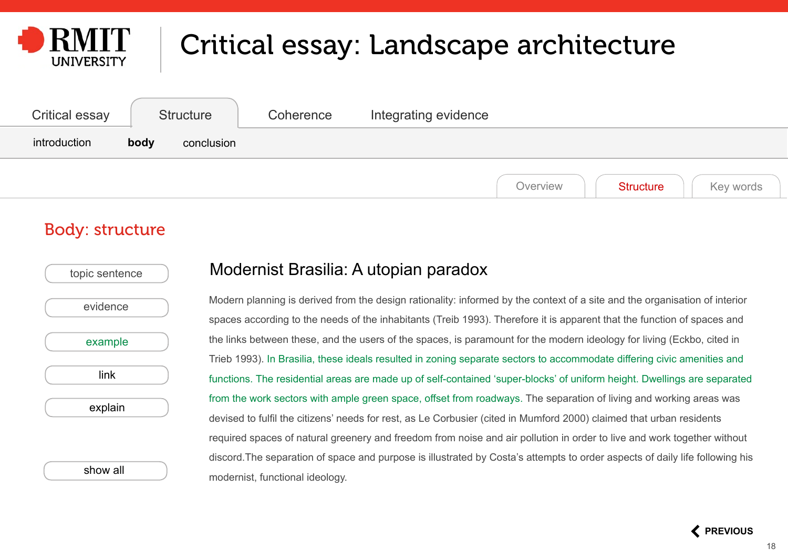<span id="page-17-0"></span>

| <b>Critical essay</b> | <b>Structure</b>   | Coherence | Integrating evidence                      |
|-----------------------|--------------------|-----------|-------------------------------------------|
| introduction          | body<br>conclusion |           |                                           |
|                       |                    |           | Key words<br><b>Structure</b><br>Overview |

#### Body: structure

| topic sentence |  |
|----------------|--|
| evidence       |  |
| example        |  |
| link           |  |
| explain        |  |
|                |  |
| show all       |  |

#### Modernist Brasilia: A utopian paradox

Modern planning is derived from the design rationality: informed by the context of a site and the organisation of interior spaces according to the needs of the inhabitants (Treib 1993). Therefore it is apparent that the function of spaces and the links between these, and the users of the spaces, is paramount for the modern ideology for living (Eckbo, cited in Trieb 1993). In Brasilia, these ideals resulted in zoning separate sectors to accommodate differing civic amenities and functions. The residential areas are made up of self-contained 'super-blocks' of uniform height. Dwellings are separated from the work sectors with ample green space, offset from roadways. The separation of living and working areas was devised to fulfil the citizens' needs for rest, as Le Corbusier (cited in Mumford 2000) claimed that urban residents required spaces of natural greenery and freedom from noise and air pollution in order to live and work together without discord.The separation of space and purpose is illustrated by Costa's attempts to order aspects of daily life following his modernist, functional ideology.

 **[PREVIOUS](#page-16-0)**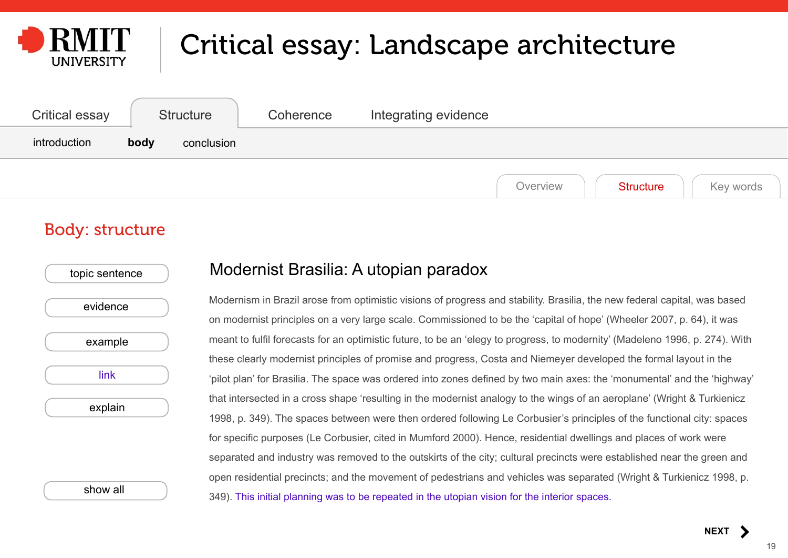<span id="page-18-0"></span>

| <b>Critical essay</b> | <b>Structure</b>   | Coherence | Integrating evidence                      |
|-----------------------|--------------------|-----------|-------------------------------------------|
| introduction          | body<br>conclusion |           |                                           |
|                       |                    |           | Key words<br>Overview<br><b>Structure</b> |

#### Body: structure

| evidence |  |
|----------|--|
|          |  |
| example  |  |
| link     |  |
| explain  |  |

[show all](#page-22-0)

#### Modernist Brasilia: A utopian paradox

Modernism in Brazil arose from optimistic visions of progress and stability. Brasilia, the new federal capital, was based on modernist principles on a very large scale. Commissioned to be the 'capital of hope' (Wheeler 2007, p. 64), it was meant to fulfil forecasts for an optimistic future, to be an 'elegy to progress, to modernity' (Madeleno 1996, p. 274). With these clearly modernist principles of promise and progress, Costa and Niemeyer developed the formal layout in the 'pilot plan' for Brasilia. The space was ordered into zones defined by two main axes: the 'monumental' and the 'highway' that intersected in a cross shape 'resulting in the modernist analogy to the wings of an aeroplane' (Wright & Turkienicz 1998, p. 349). The spaces between were then ordered following Le Corbusier's principles of the functional city: spaces for specific purposes (Le Corbusier, cited in Mumford 2000). Hence, residential dwellings and places of work were separated and industry was removed to the outskirts of the city; cultural precincts were established near the green and open residential precincts; and the movement of pedestrians and vehicles was separated (Wright & Turkienicz 1998, p. 349). This initial planning was to be repeated in the utopian vision for the interior spaces.

**[NEXT](#page-19-0)**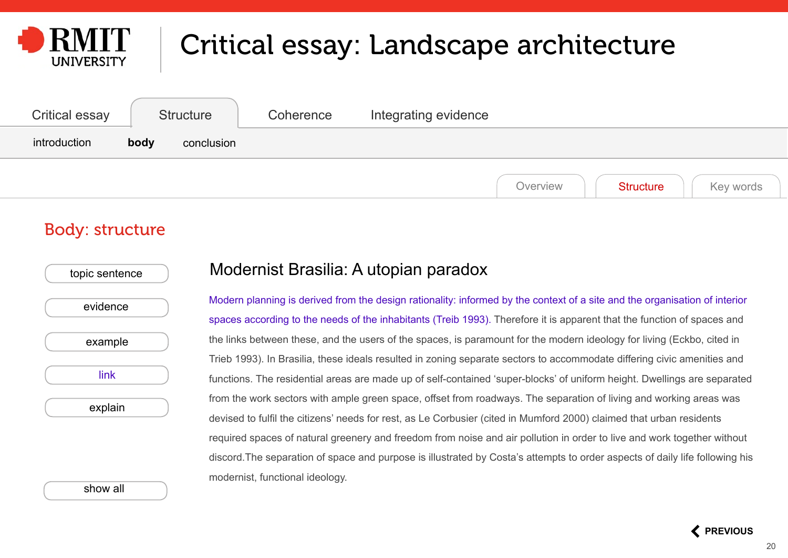<span id="page-19-0"></span>

| <b>Critical essay</b> | <b>Structure</b>   | Coherence | Integrating evidence                      |
|-----------------------|--------------------|-----------|-------------------------------------------|
| introduction          | body<br>conclusion |           |                                           |
|                       |                    |           | Key words<br><b>Structure</b><br>Overview |

#### Body: structure

| evidence |  |
|----------|--|
|          |  |
| example  |  |
| link     |  |
| explain  |  |
|          |  |

#### Modernist Brasilia: A utopian paradox

Modern planning is derived from the design rationality: informed by the context of a site and the organisation of interior spaces according to the needs of the inhabitants (Treib 1993). Therefore it is apparent that the function of spaces and the links between these, and the users of the spaces, is paramount for the modern ideology for living (Eckbo, cited in Trieb 1993). In Brasilia, these ideals resulted in zoning separate sectors to accommodate differing civic amenities and functions. The residential areas are made up of self-contained 'super-blocks' of uniform height. Dwellings are separated from the work sectors with ample green space, offset from roadways. The separation of living and working areas was devised to fulfil the citizens' needs for rest, as Le Corbusier (cited in Mumford 2000) claimed that urban residents required spaces of natural greenery and freedom from noise and air pollution in order to live and work together without discord.The separation of space and purpose is illustrated by Costa's attempts to order aspects of daily life following his modernist, functional ideology.

[show all](#page-22-0)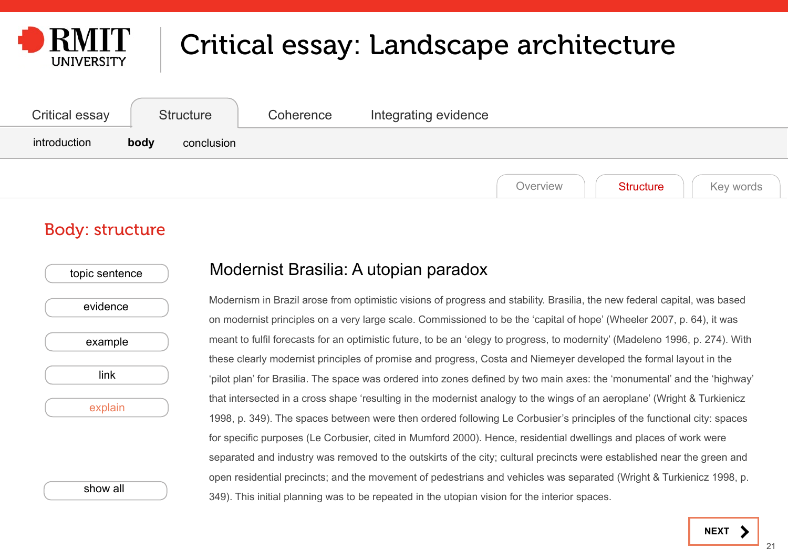<span id="page-20-0"></span>

| <b>Critical essay</b> | <b>Structure</b>   | Coherence | Integrating evidence                      |
|-----------------------|--------------------|-----------|-------------------------------------------|
| introduction          | body<br>conclusion |           |                                           |
|                       |                    |           | Key words<br>Overview<br><b>Structure</b> |

#### Body: structure

| evidence<br>example<br>link |  |
|-----------------------------|--|
|                             |  |
|                             |  |
|                             |  |
| explain                     |  |

[show all](#page-22-0)

#### Modernist Brasilia: A utopian paradox

Modernism in Brazil arose from optimistic visions of progress and stability. Brasilia, the new federal capital, was based on modernist principles on a very large scale. Commissioned to be the 'capital of hope' (Wheeler 2007, p. 64), it was meant to fulfil forecasts for an optimistic future, to be an 'elegy to progress, to modernity' (Madeleno 1996, p. 274). With these clearly modernist principles of promise and progress, Costa and Niemeyer developed the formal layout in the 'pilot plan' for Brasilia. The space was ordered into zones defined by two main axes: the 'monumental' and the 'highway' that intersected in a cross shape 'resulting in the modernist analogy to the wings of an aeroplane' (Wright & Turkienicz 1998, p. 349). The spaces between were then ordered following Le Corbusier's principles of the functional city: spaces for specific purposes (Le Corbusier, cited in Mumford 2000). Hence, residential dwellings and places of work were separated and industry was removed to the outskirts of the city; cultural precincts were established near the green and open residential precincts; and the movement of pedestrians and vehicles was separated (Wright & Turkienicz 1998, p. 349). This initial planning was to be repeated in the utopian vision for the interior spaces.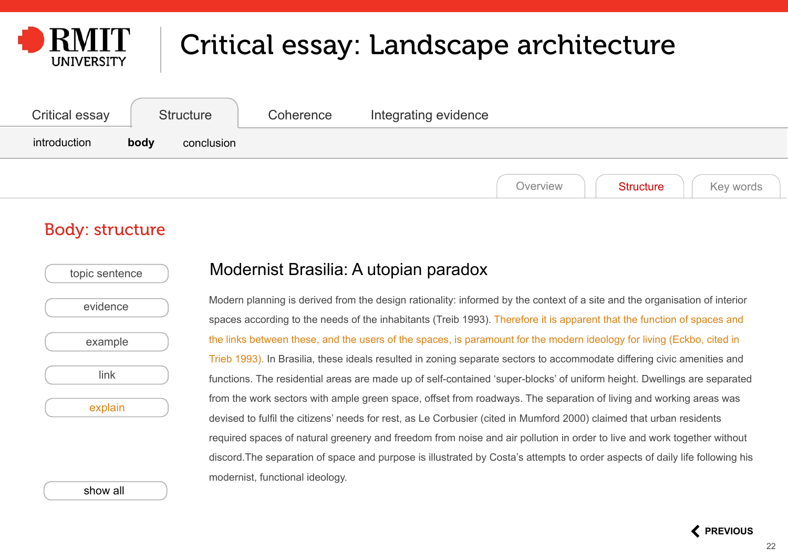<span id="page-21-0"></span>

| <b>Critical essay</b> | <b>Structure</b>   | Coherence | Integrating evidence                      |
|-----------------------|--------------------|-----------|-------------------------------------------|
| introduction          | body<br>conclusion |           |                                           |
|                       |                    |           | Key words<br>Overview<br><b>Structure</b> |

#### Body: structure

| topic sentence |  |
|----------------|--|
| evidence       |  |
| example        |  |
| link           |  |
| explain        |  |
|                |  |
|                |  |

[show all](#page-22-0)

#### Modernist Brasilia: A utopian paradox

Modern planning is derived from the design rationality: informed by the context of a site and the organisation of interior spaces according to the needs of the inhabitants (Treib 1993). Therefore it is apparent that the function of spaces and the links between these, and the users of the spaces, is paramount for the modern ideology for living (Eckbo, cited in Trieb 1993). In Brasilia, these ideals resulted in zoning separate sectors to accommodate differing civic amenities and functions. The residential areas are made up of self-contained 'super-blocks' of uniform height. Dwellings are separated from the work sectors with ample green space, offset from roadways. The separation of living and working areas was devised to fulfil the citizens' needs for rest, as Le Corbusier (cited in Mumford 2000) claimed that urban residents required spaces of natural greenery and freedom from noise and air pollution in order to live and work together without discord.The separation of space and purpose is illustrated by Costa's attempts to order aspects of daily life following his modernist, functional ideology.

 **[PREVIOUS](#page-20-0)**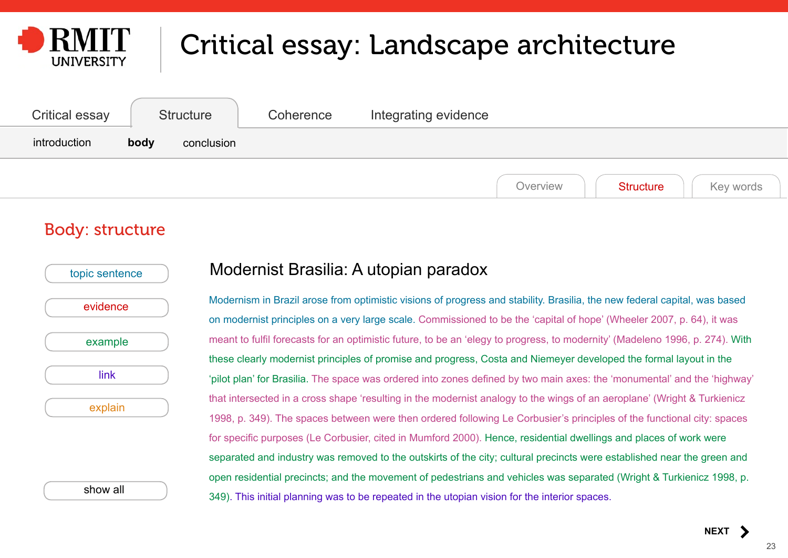<span id="page-22-0"></span>

| <b>Critical essay</b> | <b>Structure</b>   | Coherence | Integrating evidence                      |
|-----------------------|--------------------|-----------|-------------------------------------------|
| introduction          | body<br>conclusion |           |                                           |
|                       |                    |           | Key words<br>Overview<br><b>Structure</b> |

#### Body: structure

| topic sentence |  |
|----------------|--|
| evidence       |  |
| example        |  |
| link           |  |
| explain        |  |
|                |  |
|                |  |

show all

#### Modernist Brasilia: A utopian paradox

Modernism in Brazil arose from optimistic visions of progress and stability. Brasilia, the new federal capital, was based on modernist principles on a very large scale. Commissioned to be the 'capital of hope' (Wheeler 2007, p. 64), it was meant to fulfil forecasts for an optimistic future, to be an 'elegy to progress, to modernity' (Madeleno 1996, p. 274). With these clearly modernist principles of promise and progress, Costa and Niemeyer developed the formal layout in the 'pilot plan' for Brasilia. The space was ordered into zones defined by two main axes: the 'monumental' and the 'highway' that intersected in a cross shape 'resulting in the modernist analogy to the wings of an aeroplane' (Wright & Turkienicz 1998, p. 349). The spaces between were then ordered following Le Corbusier's principles of the functional city: spaces for specific purposes (Le Corbusier, cited in Mumford 2000). Hence, residential dwellings and places of work were separated and industry was removed to the outskirts of the city; cultural precincts were established near the green and open residential precincts; and the movement of pedestrians and vehicles was separated (Wright & Turkienicz 1998, p. 349). This initial planning was to be repeated in the utopian vision for the interior spaces.

**[NEXT](#page-23-0)**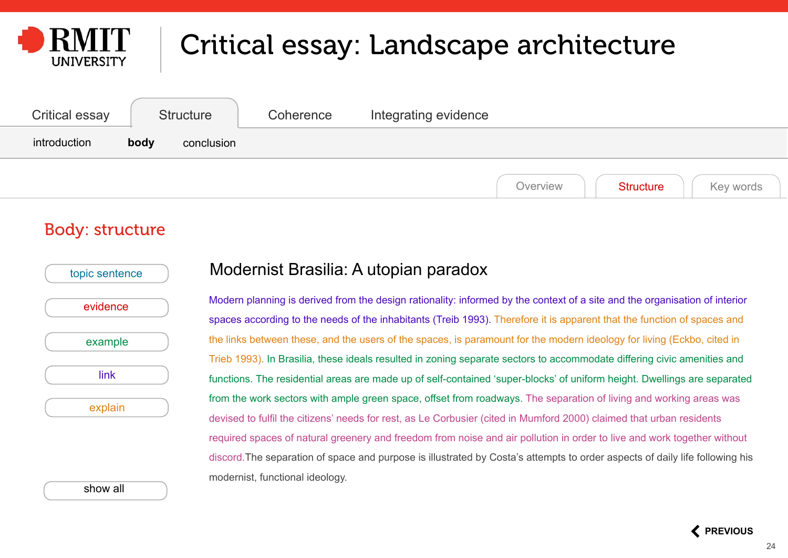<span id="page-23-0"></span>

| Critical essay | Structure          | Coherence | Integrating evidence                      |
|----------------|--------------------|-----------|-------------------------------------------|
| introduction   | body<br>conclusion |           |                                           |
|                |                    |           | Key words<br>Overview<br><b>Structure</b> |

#### Body: structure

| topic sentence |
|----------------|
|                |
| evidence       |
|                |
| example        |
|                |
| link           |
| explain        |
|                |
|                |
|                |

[show all](#page-22-0)

#### Modernist Brasilia: A utopian paradox

Modern planning is derived from the design rationality: informed by the context of a site and the organisation of interior spaces according to the needs of the inhabitants (Treib 1993). Therefore it is apparent that the function of spaces and the links between these, and the users of the spaces, is paramount for the modern ideology for living (Eckbo, cited in Trieb 1993). In Brasilia, these ideals resulted in zoning separate sectors to accommodate differing civic amenities and functions. The residential areas are made up of self-contained 'super-blocks' of uniform height. Dwellings are separated from the work sectors with ample green space, offset from roadways. The separation of living and working areas was devised to fulfil the citizens' needs for rest, as Le Corbusier (cited in Mumford 2000) claimed that urban residents required spaces of natural greenery and freedom from noise and air pollution in order to live and work together without discord.The separation of space and purpose is illustrated by Costa's attempts to order aspects of daily life following his modernist, functional ideology.

 **[PREVIOUS](#page-22-0)**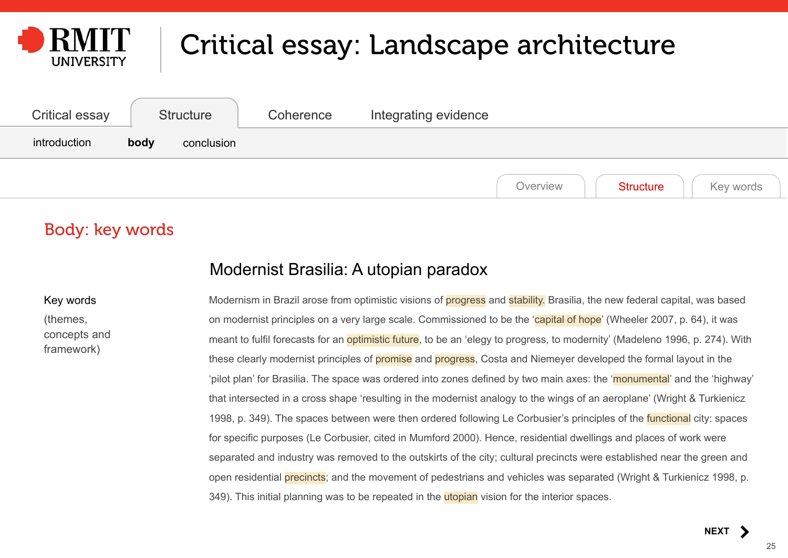<span id="page-24-0"></span>

| <b>Critical essay</b> | Structure          | Coherence | Integrating evidence                      |
|-----------------------|--------------------|-----------|-------------------------------------------|
| introduction          | body<br>conclusion |           |                                           |
|                       |                    |           | Key words<br>Overview<br><b>Structure</b> |

### Body: key words

#### Modernist Brasilia: A utopian paradox

Key words (themes, concepts and framework)

Modernism in Brazil arose from optimistic visions of **progress** and **stability**. Brasilia, the new federal capital, was based on modernist principles on a very large scale. Commissioned to be the 'capital of hope' (Wheeler 2007, p. 64), it was meant to fulfil forecasts for an optimistic future, to be an 'elegy to progress, to modernity' (Madeleno 1996, p. 274). With these clearly modernist principles of **promise** and **progress**, Costa and Niemeyer developed the formal layout in the 'pilot plan' for Brasilia. The space was ordered into zones defined by two main axes: the 'monumental' and the 'highway' that intersected in a cross shape 'resulting in the modernist analogy to the wings of an aeroplane' (Wright & Turkienicz 1998, p. 349). The spaces between were then ordered following Le Corbusier's principles of the functional city: spaces for specific purposes (Le Corbusier, cited in Mumford 2000). Hence, residential dwellings and places of work were separated and industry was removed to the outskirts of the city; cultural precincts were established near the green and open residential precincts; and the movement of pedestrians and vehicles was separated (Wright & Turkienicz 1998, p. 349). This initial planning was to be repeated in the **utopian** vision for the interior spaces.

**[NEXT](#page-25-0)**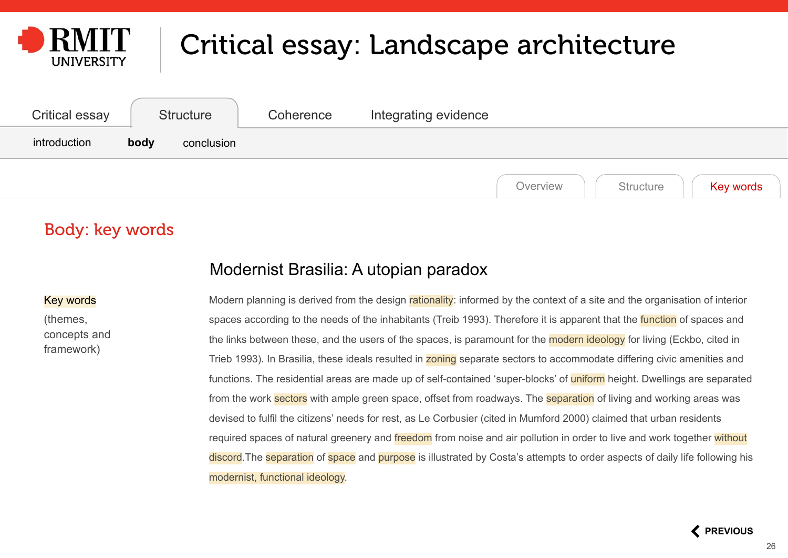<span id="page-25-0"></span>

| Critical essay | <b>Structure</b>   | Coherence | Integrating evidence  |           |
|----------------|--------------------|-----------|-----------------------|-----------|
| introduction   | body<br>conclusion |           |                       |           |
|                |                    |           | Structure<br>Overview | Key words |

### Body: key words

#### Modernist Brasilia: A utopian paradox

#### Key words

(themes, concepts and framework)

Modern planning is derived from the design rationality: informed by the context of a site and the organisation of interior spaces according to the needs of the inhabitants (Treib 1993). Therefore it is apparent that the function of spaces and the links between these, and the users of the spaces, is paramount for the modern ideology for living (Eckbo, cited in Trieb 1993). In Brasilia, these ideals resulted in zoning separate sectors to accommodate differing civic amenities and functions. The residential areas are made up of self-contained 'super-blocks' of uniform height. Dwellings are separated from the work sectors with ample green space, offset from roadways. The separation of living and working areas was devised to fulfil the citizens' needs for rest, as Le Corbusier (cited in Mumford 2000) claimed that urban residents required spaces of natural greenery and freedom from noise and air pollution in order to live and work together without discord.The separation of space and purpose is illustrated by Costa's attempts to order aspects of daily life following his modernist, functional ideology.

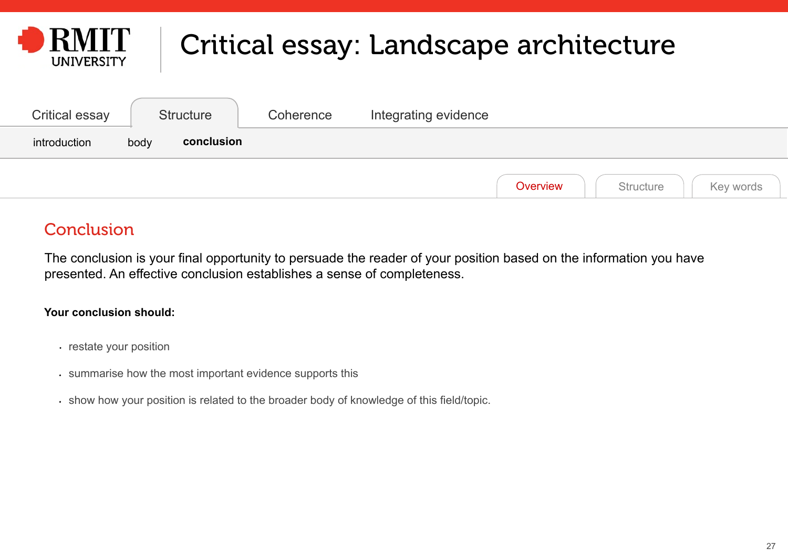<span id="page-26-0"></span>

| <b>Critical essay</b> | <b>Structure</b>   | Coherence | Integrating evidence               |  |
|-----------------------|--------------------|-----------|------------------------------------|--|
| introduction          | conclusion<br>body |           |                                    |  |
|                       |                    |           | Overview<br>Structure<br>Key words |  |

### **Conclusion**

The conclusion is your final opportunity to persuade the reader of your position based on the information you have presented. An effective conclusion establishes a sense of completeness.

#### **Your conclusion should:**

- restate your position
- summarise how the most important evidence supports this
- show how your position is related to the broader body of knowledge of this field/topic.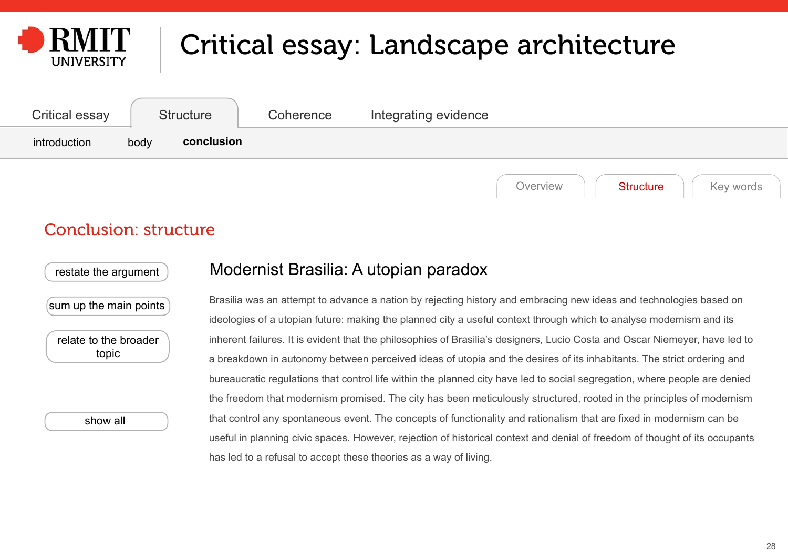<span id="page-27-0"></span>

| <b>Critical essay</b> | <b>Structure</b>   | Coherence | Integrating evidence                      |
|-----------------------|--------------------|-----------|-------------------------------------------|
| introduction          | conclusion<br>body |           |                                           |
|                       |                    |           | Overview<br><b>Structure</b><br>Key words |

#### Conclusion: structure

[restate the argument](#page-28-0)

#### Modernist Brasilia: A utopian paradox

[sum up the main points](#page-29-0)

[relate to the broader](#page-30-0)  [topic](#page-30-0)

[show all](#page-31-0)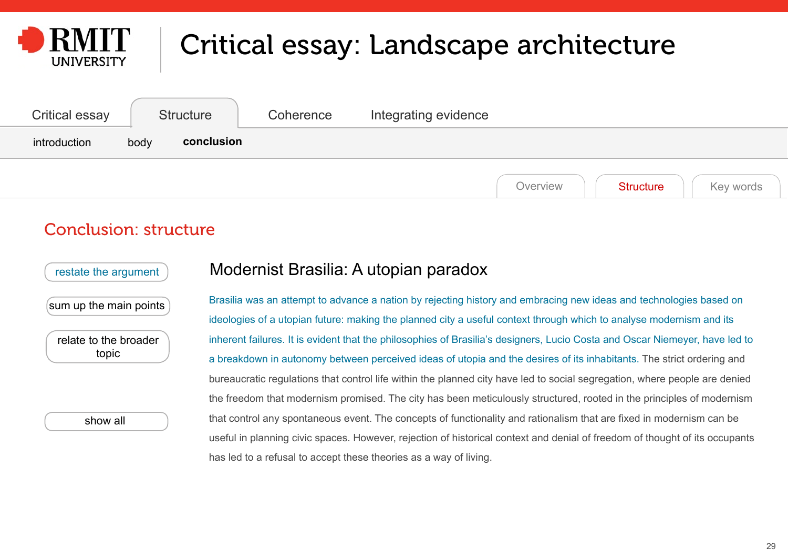<span id="page-28-0"></span>

| <b>Critical essay</b> | <b>Structure</b>   | Coherence | Integrating evidence                      |
|-----------------------|--------------------|-----------|-------------------------------------------|
| introduction          | conclusion<br>body |           |                                           |
|                       |                    |           | Key words<br><b>Structure</b><br>Overview |

#### Conclusion: structure

restate the argument

[sum up the main points](#page-29-0)

relate to the broader topic

[show all](#page-31-0)

#### Modernist Brasilia: A utopian paradox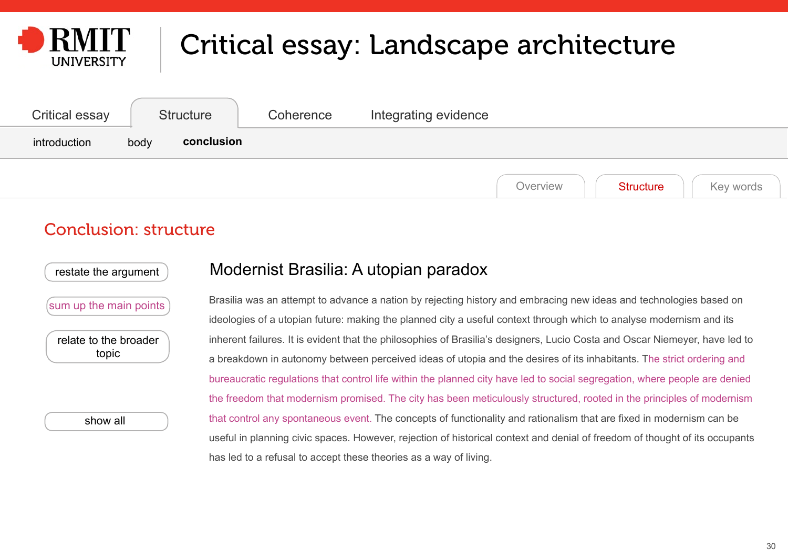<span id="page-29-0"></span>

| Critical essay | Structure          | Coherence | Integrating evidence                      |
|----------------|--------------------|-----------|-------------------------------------------|
| introduction   | conclusion<br>body |           |                                           |
|                |                    |           | Key words<br><b>Structure</b><br>Overview |

#### Conclusion: structure

[restate the argument](#page-28-0)

#### Modernist Brasilia: A utopian paradox

sum up the main points

[relate to the broader](#page-30-0)  [topic](#page-30-0)

[show all](#page-31-0)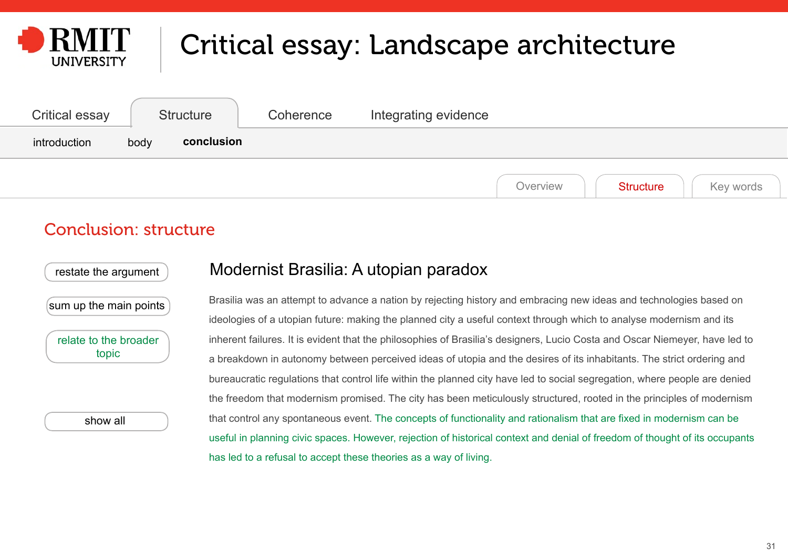<span id="page-30-0"></span>

| Critical essay | <b>Structure</b>   | Coherence | Integrating evidence                      |
|----------------|--------------------|-----------|-------------------------------------------|
| introduction   | conclusion<br>body |           |                                           |
|                |                    |           | <b>Structure</b><br>Key words<br>Overview |

#### Conclusion: structure

[restate the argument](#page-28-0)

#### Modernist Brasilia: A utopian paradox

[sum up the main points](#page-29-0)

relate to the broader topic

[show all](#page-31-0)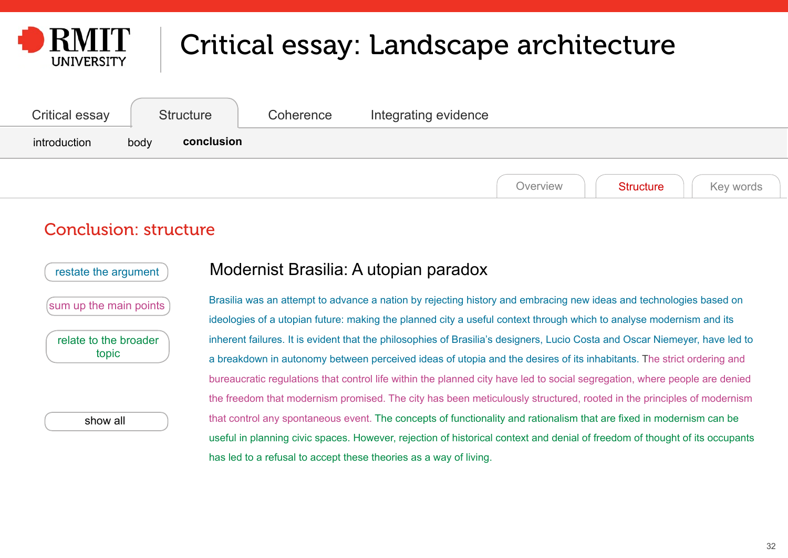<span id="page-31-0"></span>

| Critical essay | <b>Structure</b>   | Coherence | Integrating evidence                      |
|----------------|--------------------|-----------|-------------------------------------------|
| introduction   | conclusion<br>body |           |                                           |
|                |                    |           | <b>Structure</b><br>Overview<br>Key words |

#### Conclusion: structure

[restate the argument](#page-28-0)

[sum up the main points](#page-29-0)

[relate to the broader](#page-30-0)  [topic](#page-30-0)

show all

#### Modernist Brasilia: A utopian paradox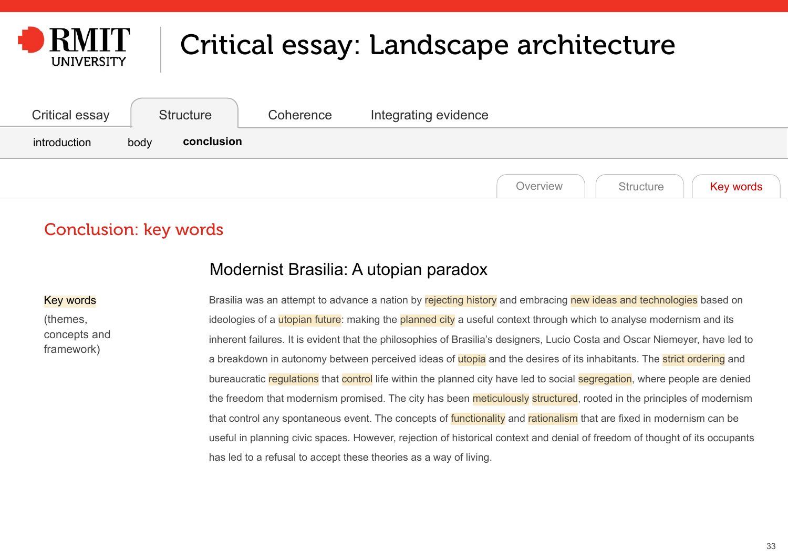<span id="page-32-0"></span>

| Critical essay | <b>Structure</b>   | Coherence | Integrating evidence               |
|----------------|--------------------|-----------|------------------------------------|
| introduction   | conclusion<br>body |           |                                    |
|                |                    |           | Key words<br>Structure<br>Overview |

### Conclusion: key words

#### Modernist Brasilia: A utopian paradox

#### Key words

(themes, concepts and framework)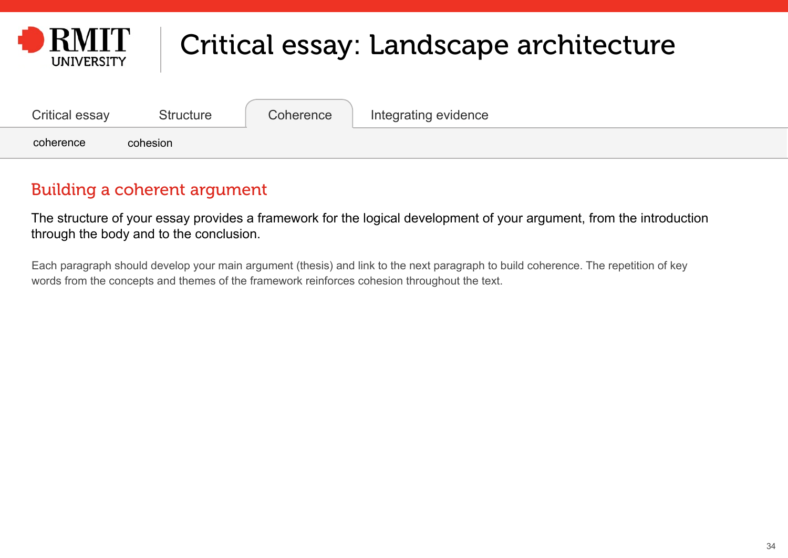<span id="page-33-0"></span>

| Critical essay | <b>Structure</b> | <b>Coherence</b> | Integrating evidence |
|----------------|------------------|------------------|----------------------|
| coherence      | cohesion         |                  |                      |

### Building a coherent argument

The structure of your essay provides a framework for the logical development of your argument, from the introduction through the body and to the conclusion.

Each paragraph should develop your main argument (thesis) and link to the next paragraph to build coherence. The repetition of key words from the concepts and themes of the framework reinforces cohesion throughout the text.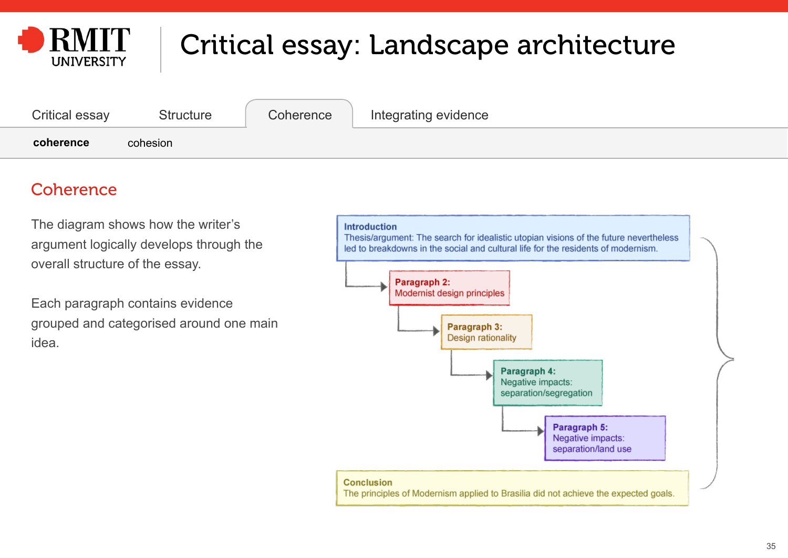<span id="page-34-0"></span>

| Critical essay | <b>Structure</b> | Coherence | Integrating evidence |
|----------------|------------------|-----------|----------------------|
| coherence      | cohesion         |           |                      |

### **Coherence**

The diagram shows how the writer's argument logically develops through the overall structure of the essay.

Each paragraph contains evidence grouped and categorised around one main idea.

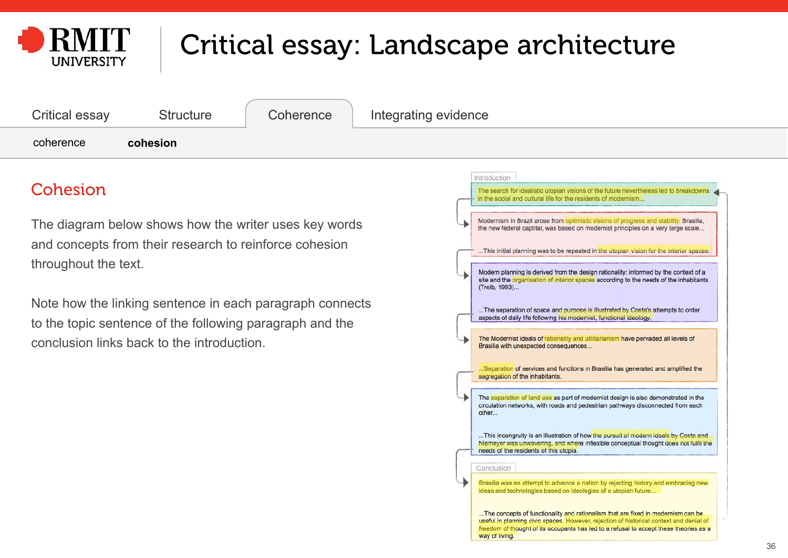<span id="page-35-0"></span>

| Critical essay | Structure | Coherence | Integrating evidence |
|----------------|-----------|-----------|----------------------|
| coherence      | cohesion  |           |                      |

### Cohesion

The diagram below shows how the writer uses key words and concepts from their research to reinforce cohesion throughout the text.

Note how the linking sentence in each paragraph connects to the topic sentence of the following paragraph and the conclusion links back to the introduction.

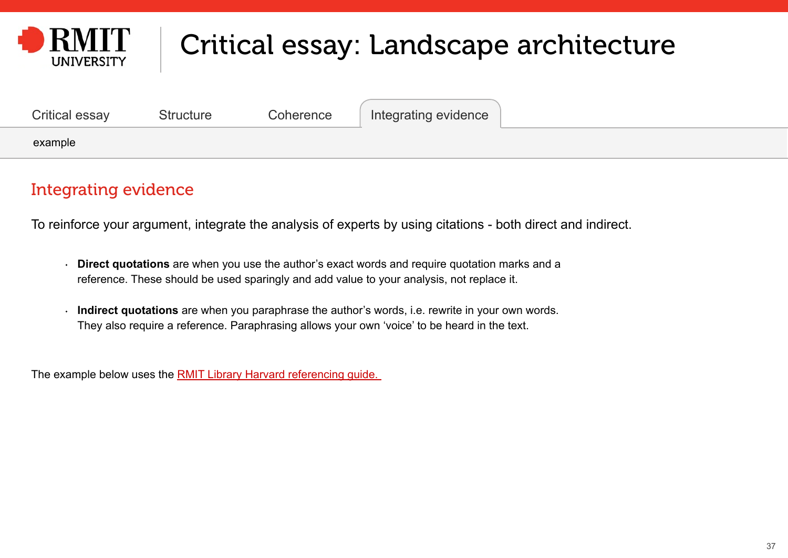<span id="page-36-0"></span>

| Critical essay | <b>Structure</b> | Coherence | Integrating evidence |  |
|----------------|------------------|-----------|----------------------|--|
| example        |                  |           |                      |  |

### Integrating evidence

To reinforce your argument, integrate the analysis of experts by using citations - both direct and indirect.

- **Direct quotations** are when you use the author's exact words and require quotation marks and a reference. These should be used sparingly and add value to your analysis, not replace it.
- **Indirect quotations** are when you paraphrase the author's words, i.e. rewrite in your own words. They also require a reference. Paraphrasing allows your own 'voice' to be heard in the text.

The example below uses the **RMIT Library Harvard referencing quide.**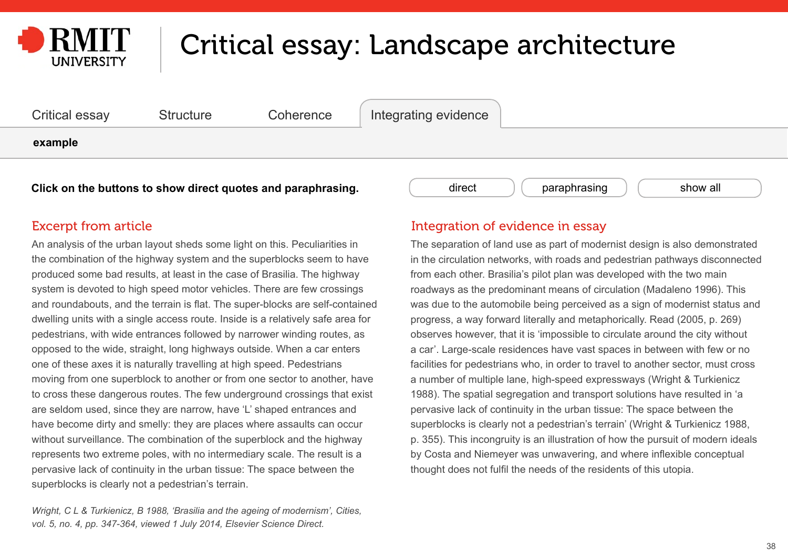<span id="page-37-0"></span>



An analysis of the urban layout sheds some light on this. Peculiarities in the combination of the highway system and the superblocks seem to have produced some bad results, at least in the case of Brasilia. The highway system is devoted to high speed motor vehicles. There are few crossings and roundabouts, and the terrain is flat. The super-blocks are self-contained dwelling units with a single access route. Inside is a relatively safe area for pedestrians, with wide entrances followed by narrower winding routes, as opposed to the wide, straight, long highways outside. When a car enters one of these axes it is naturally travelling at high speed. Pedestrians moving from one superblock to another or from one sector to another, have to cross these dangerous routes. The few underground crossings that exist are seldom used, since they are narrow, have 'L' shaped entrances and have become dirty and smelly: they are places where assaults can occur without surveillance. The combination of the superblock and the highway represents two extreme poles, with no intermediary scale. The result is a pervasive lack of continuity in the urban tissue: The space between the superblocks is clearly not a pedestrian's terrain.

*Wright, C L & Turkienicz, B 1988, 'Brasilia and the ageing of modernism', Cities, vol. 5, no. 4, pp. 347-364, viewed 1 July 2014, Elsevier Science Direct.*

#### Excerpt from article **Integration of evidence in essay**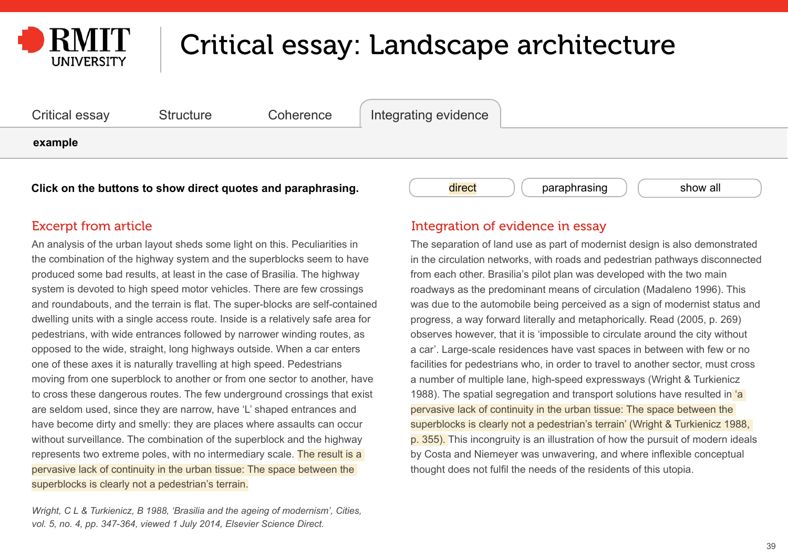<span id="page-38-0"></span>



An analysis of the urban layout sheds some light on this. Peculiarities in the combination of the highway system and the superblocks seem to have produced some bad results, at least in the case of Brasilia. The highway system is devoted to high speed motor vehicles. There are few crossings and roundabouts, and the terrain is flat. The super-blocks are self-contained dwelling units with a single access route. Inside is a relatively safe area for pedestrians, with wide entrances followed by narrower winding routes, as opposed to the wide, straight, long highways outside. When a car enters one of these axes it is naturally travelling at high speed. Pedestrians moving from one superblock to another or from one sector to another, have to cross these dangerous routes. The few underground crossings that exist are seldom used, since they are narrow, have 'L' shaped entrances and have become dirty and smelly: they are places where assaults can occur without surveillance. The combination of the superblock and the highway represents two extreme poles, with no intermediary scale. The result is a pervasive lack of continuity in the urban tissue: The space between the superblocks is clearly not a pedestrian's terrain.

*Wright, C L & Turkienicz, B 1988, 'Brasilia and the ageing of modernism', Cities, vol. 5, no. 4, pp. 347-364, viewed 1 July 2014, Elsevier Science Direct.*

#### Excerpt from article **Integration of evidence in essay**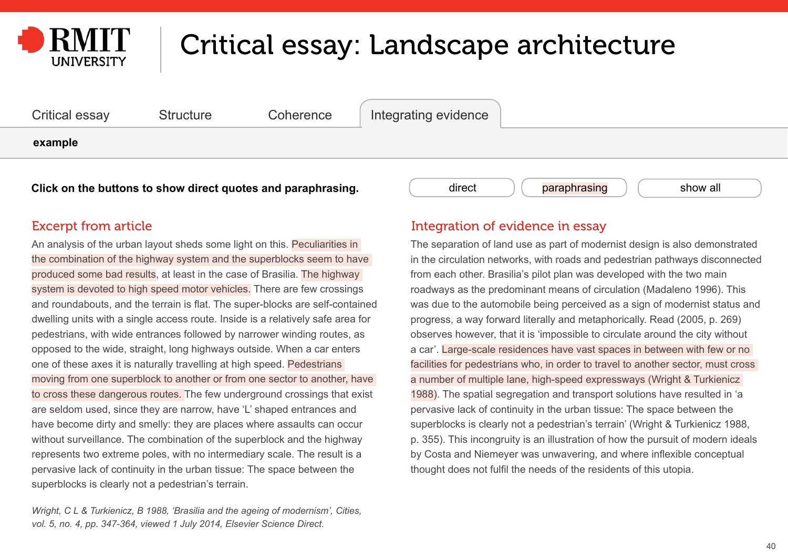<span id="page-39-0"></span>



An analysis of the urban layout sheds some light on this. Peculiarities in the combination of the highway system and the superblocks seem to have produced some bad results, at least in the case of Brasilia. The highway system is devoted to high speed motor vehicles. There are few crossings and roundabouts, and the terrain is flat. The super-blocks are self-contained dwelling units with a single access route. Inside is a relatively safe area for pedestrians, with wide entrances followed by narrower winding routes, as opposed to the wide, straight, long highways outside. When a car enters one of these axes it is naturally travelling at high speed. Pedestrians moving from one superblock to another or from one sector to another, have to cross these dangerous routes. The few underground crossings that exist are seldom used, since they are narrow, have 'L' shaped entrances and have become dirty and smelly: they are places where assaults can occur without surveillance. The combination of the superblock and the highway represents two extreme poles, with no intermediary scale. The result is a pervasive lack of continuity in the urban tissue: The space between the superblocks is clearly not a pedestrian's terrain.

*Wright, C L & Turkienicz, B 1988, 'Brasilia and the ageing of modernism', Cities, vol. 5, no. 4, pp. 347-364, viewed 1 July 2014, Elsevier Science Direct.*

#### Excerpt from article **Integration of evidence in essay**